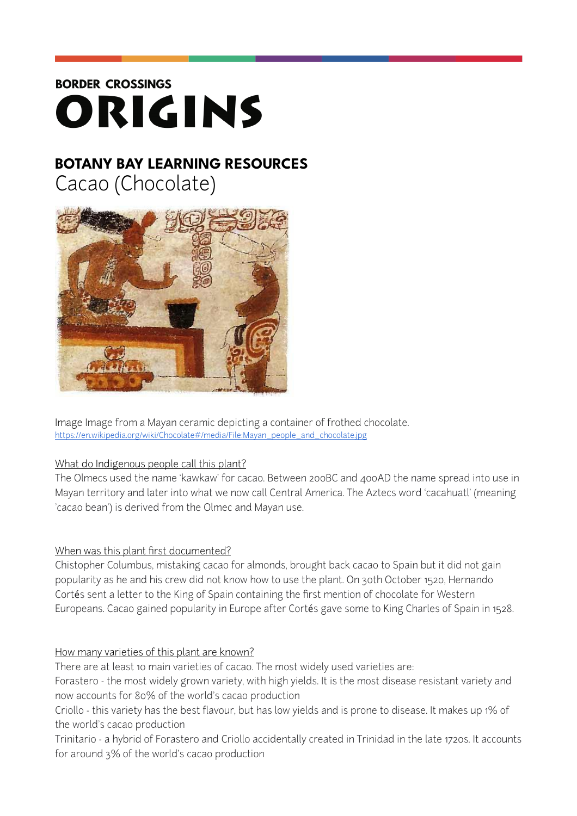# **BORDER CROSSINGS** ORIGINS

# **BOTANY BAY LEARNING RESOURCES**

Cacao (Chocolate)



Image Image from a Mayan ceramic depicting a container of frothed chocolate. [https://en.wikipedia.org/wiki/Chocolate#/media/File:Mayan\\_people\\_and\\_chocolate.jpg](https://en.wikipedia.org/wiki/Chocolate%252523/media/File:Mayan_people_and_chocolate.jpg)

# What do Indigenous people call this plant?

The Olmecs used the name 'kawkaw' for cacao. Between 200BC and 400AD the name spread into use in Mayan territory and later into what we now call Central America. The Aztecs word 'cacahuatl' (meaning 'cacao bean') is derived from the Olmec and Mayan use.

# When was this plant first documented?

Chistopher Columbus, mistaking cacao for almonds, brought back cacao to Spain but it did not gain popularity as he and his crew did not know how to use the plant. On 30th October 1520, Hernando Cortés sent a letter to the King of Spain containing the first mention of chocolate for Western Europeans. Cacao gained popularity in Europe after Cortés gave some to King Charles of Spain in 1528.

# How many varieties of this plant are known?

There are at least 10 main varieties of cacao. The most widely used varieties are: Forastero - the most widely grown variety, with high yields. It is the most disease resistant variety and now accounts for 80% of the world's cacao production

Criollo - this variety has the best flavour, but has low yields and is prone to disease. It makes up 1% of the world's cacao production

Trinitario - a hybrid of Forastero and Criollo accidentally created in Trinidad in the late 1720s. It accounts for around 3% of the world's cacao production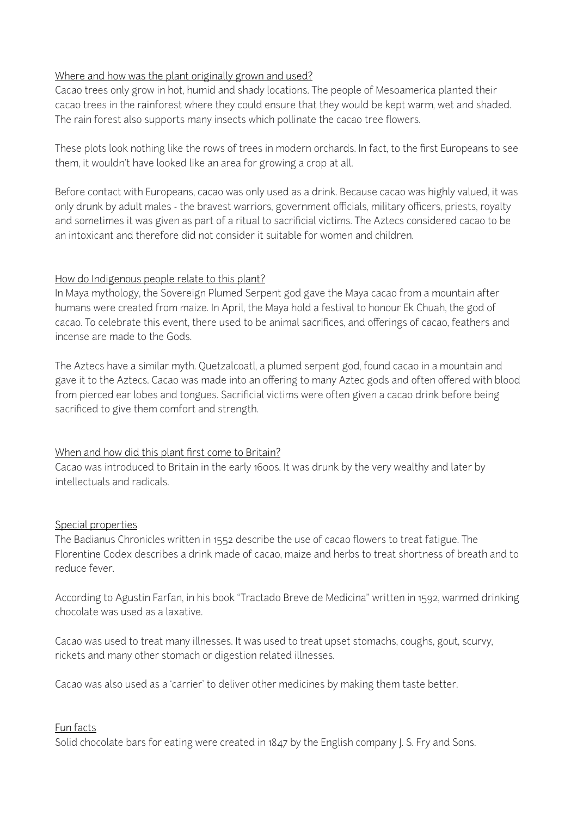#### Where and how was the plant originally grown and used?

Cacao trees only grow in hot, humid and shady locations. The people of Mesoamerica planted their cacao trees in the rainforest where they could ensure that they would be kept warm, wet and shaded. The rain forest also supports many insects which pollinate the cacao tree flowers.

These plots look nothing like the rows of trees in modern orchards. In fact, to the first Europeans to see them, it wouldn't have looked like an area for growing a crop at all.

Before contact with Europeans, cacao was only used as a drink. Because cacao was highly valued, it was only drunk by adult males - the bravest warriors, government officials, military officers, priests, royalty and sometimes it was given as part of a ritual to sacrificial victims. The Aztecs considered cacao to be an intoxicant and therefore did not consider it suitable for women and children.

#### How do Indigenous people relate to this plant?

In Maya mythology, the Sovereign Plumed Serpent god gave the Maya cacao from a mountain after humans were created from maize. In April, the Maya hold a festival to honour Ek Chuah, the god of cacao. To celebrate this event, there used to be animal sacrifices, and offerings of cacao, feathers and incense are made to the Gods.

The Aztecs have a similar myth. Quetzalcoatl, a plumed serpent god, found cacao in a mountain and gave it to the Aztecs. Cacao was made into an offering to many Aztec gods and often offered with blood from pierced ear lobes and tongues. Sacrificial victims were often given a cacao drink before being sacrificed to give them comfort and strength.

#### When and how did this plant first come to Britain?

Cacao was introduced to Britain in the early 1600s. It was drunk by the very wealthy and later by intellectuals and radicals.

#### Special properties

The Badianus Chronicles written in 1552 describe the use of cacao flowers to treat fatigue. The Florentine Codex describes a drink made of cacao, maize and herbs to treat shortness of breath and to reduce fever.

According to Agustin Farfan, in his book "Tractado Breve de Medicina" written in 1592, warmed drinking chocolate was used as a laxative.

Cacao was used to treat many illnesses. It was used to treat upset stomachs, coughs, gout, scurvy, rickets and many other stomach or digestion related illnesses.

Cacao was also used as a 'carrier' to deliver other medicines by making them taste better.

#### Fun facts

Solid chocolate bars for eating were created in 1847 by the English company J. S. Fry and Sons.